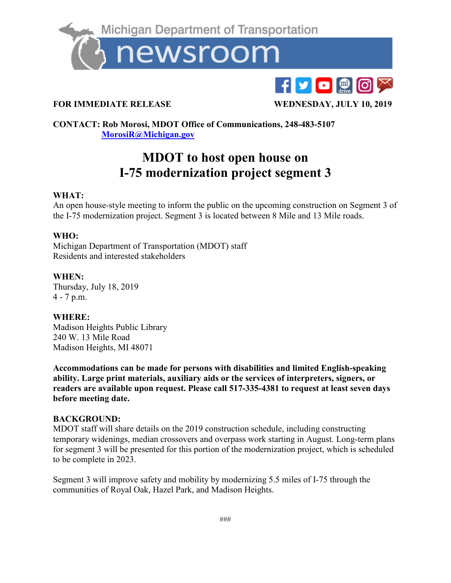

# **FOR IMMEDIATE RELEASE WEDNESDAY, JULY 10, 2019**

 $\mathbf{y}$  o  $\mathbf{Q}$   $\mathbf{C}$ 

**CONTACT: Rob Morosi, MDOT Office of Communications, 248-483-5107 [MorosiR@Michigan.gov](mailto:MorosiR@Michigan.gov)**

# **MDOT to host open house on I-75 modernization project segment 3**

## **WHAT:**

An open house-style meeting to inform the public on the upcoming construction on Segment 3 of the I-75 modernization project. Segment 3 is located between 8 Mile and 13 Mile roads.

#### **WHO:**

Michigan Department of Transportation (MDOT) staff Residents and interested stakeholders

#### **WHEN:**

Thursday, July 18, 2019 4 - 7 p.m.

## **WHERE:**

Madison Heights Public Library 240 W. 13 Mile Road Madison Heights, MI 48071

**Accommodations can be made for persons with disabilities and limited English-speaking ability. Large print materials, auxiliary aids or the services of interpreters, signers, or readers are available upon request. Please call 517-335-4381 to request at least seven days before meeting date.**

#### **BACKGROUND:**

MDOT staff will share details on the 2019 construction schedule, including constructing temporary widenings, median crossovers and overpass work starting in August. Long-term plans for segment 3 will be presented for this portion of the modernization project, which is scheduled to be complete in 2023.

Segment 3 will improve safety and mobility by modernizing 5.5 miles of I-75 through the communities of Royal Oak, Hazel Park, and Madison Heights.